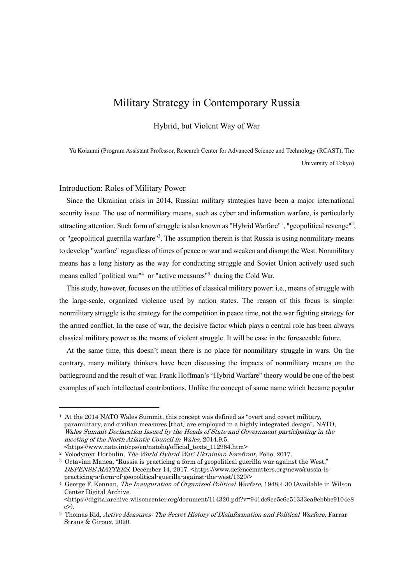# Military Strategy in Contemporary Russia

Hybrid, but Violent Way of War

Yu Koizumi (Program Assistant Professor, Research Center for Advanced Science and Technology (RCAST), The University of Tokyo)

# Introduction: Roles of Military Power

Since the Ukrainian crisis in 2014, Russian military strategies have been a major international security issue. The use of nonmilitary means, such as cyber and information warfare, is particularly attracting attention. Such form of struggle is also known as "Hybrid Warfare"<sup>1</sup>, "geopolitical revenge"<sup>2</sup>, or "geopolitical guerrilla warfare"<sup>3</sup>. The assumption therein is that Russia is using nonmilitary means to develop "warfare" regardless of times of peace or war and weaken and disrupt the West. Nonmilitary means has a long history as the way for conducting struggle and Soviet Union actively used such means called "political war"<sup>4</sup> or "active measures"<sup>5</sup> during the Cold War.

This study, however, focuses on the utilities of classical military power: i.e., means of struggle with the large-scale, organized violence used by nation states. The reason of this focus is simple: nonmilitary struggle is the strategy for the competition in peace time, not the war fighting strategy for the armed conflict. In the case of war, the decisive factor which plays a central role has been always classical military power as the means of violent struggle. It will be case in the foreseeable future.

At the same time, this doesn't mean there is no place for nonmilitary struggle in wars. On the contrary, many military thinkers have been discussing the impacts of nonmilitary means on the battleground and the result of war. Frank Hoffman's "Hybrid Warfare" theory would be one of the best examples of such intellectual contributions. Unlike the concept of same name which became popular

<sup>1</sup> At the 2014 NATO Wales Summit, this concept was defined as "overt and covert military, paramilitary, and civilian measures [that] are employed in a highly integrated design". NATO, Wales Summit Declaration Issued by the Heads of State and Government participating in the meeting of the North Atlantic Council in Wales, 2014.9.5. <https://www.nato.int/cps/en/natohq/official\_texts\_112964.htm>

<sup>&</sup>lt;sup>2</sup> Volodymyr Horbulin, The World Hybrid War: Ukrainian Forefront, Folio, 2017.

<sup>3</sup> Octavian Manea, "Russia is practicing a form of geopolitical guerilla war against the West," DEFENSE MATTERS, December 14, 2017. <https://www.defencematters.org/news/russia-ispracticing-a-form-of-geopolitical-guerilla-against-the-west/1320/>

<sup>&</sup>lt;sup>4</sup> George F. Kennan, The Inauguration of Organized Political Warfare, 1948.4.30 (Available in Wilson Center Digital Archive.

<sup>&</sup>lt;https://digitalarchive.wilsoncenter.org/document/114320.pdf?v=941dc9ee5c6e51333ea9ebbbc9104e8  $c$ ).

<sup>&</sup>lt;sup>5</sup> Thomas Rid, Active Measures: The Secret History of Disinformation and Political Warfare, Farrar Straus & Giroux, 2020.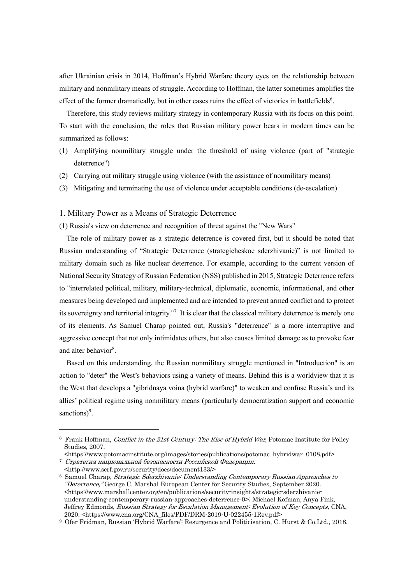after Ukrainian crisis in 2014, Hoffman's Hybrid Warfare theory eyes on the relationship between military and nonmilitary means of struggle. According to Hoffman, the latter sometimes amplifies the effect of the former dramatically, but in other cases ruins the effect of victories in battlefields<sup>6</sup>.

Therefore, this study reviews military strategy in contemporary Russia with its focus on this point. To start with the conclusion, the roles that Russian military power bears in modern times can be summarized as follows:

- (1) Amplifying nonmilitary struggle under the threshold of using violence (part of "strategic deterrence")
- (2) Carrying out military struggle using violence (with the assistance of nonmilitary means)
- (3) Mitigating and terminating the use of violence under acceptable conditions (de-escalation)

# 1. Military Power as a Means of Strategic Deterrence

(1) Russia's view on deterrence and recognition of threat against the "New Wars"

The role of military power as a strategic deterrence is covered first, but it should be noted that Russian understanding of "Strategic Deterrence (strategicheskoe sderzhivanie)" is not limited to military domain such as like nuclear deterrence. For example, according to the current version of National Security Strategy of Russian Federation (NSS) published in 2015, Strategic Deterrence refers to "interrelated political, military, military-technical, diplomatic, economic, informational, and other measures being developed and implemented and are intended to prevent armed conflict and to protect its sovereignty and territorial integrity."<sup>7</sup> It is clear that the classical military deterrence is merely one of its elements. As Samuel Charap pointed out, Russia's "deterrence" is a more interruptive and aggressive concept that not only intimidates others, but also causes limited damage as to provoke fear and alter behavior<sup>8</sup>.

Based on this understanding, the Russian nonmilitary struggle mentioned in "Introduction" is an action to "deter" the West's behaviors using a variety of means. Behind this is a worldview that it is the West that develops a "gibridnaya voina (hybrid warfare)" to weaken and confuse Russia's and its allies' political regime using nonmilitary means (particularly democratization support and economic sanctions)<sup>9</sup>.

<sup>6</sup> Frank Hoffman, Conflict in the 21st Century: The Rise of Hybrid War, Potomac Institute for Policy Studies, 2007.

<sup>&</sup>lt;https://www.potomacinstitute.org/images/stories/publications/potomac\_hybridwar\_0108.pdf> <sup>7</sup> Стратегия национальной безопасности Российской Федерации.

<sup>&</sup>lt;http://www.scrf.gov.ru/security/docs/document133/>

<sup>8</sup> Samuel Charap, Strategic Sderzhivanie: Understanding Contemporary Russian Approaches to "Deterrence," George C. Marshal European Center for Security Studies, September 2020. <https://www.marshallcenter.org/en/publications/security-insights/strategic-sderzhivanieunderstanding-contemporary-russian-approaches-deterrence-0>; Michael Kofman, Anya Fink, Jeffrey Edmonds, Russian Strategy for Escalation Management: Evolution of Key Concepts, CNA, 2020. <https://www.cna.org/CNA\_files/PDF/DRM-2019-U-022455-1Rev.pdf>

<sup>9</sup> Ofer Fridman, Russian 'Hybrid Warfare': Resurgence and Politicisation, C. Hurst & Co.Ltd., 2018.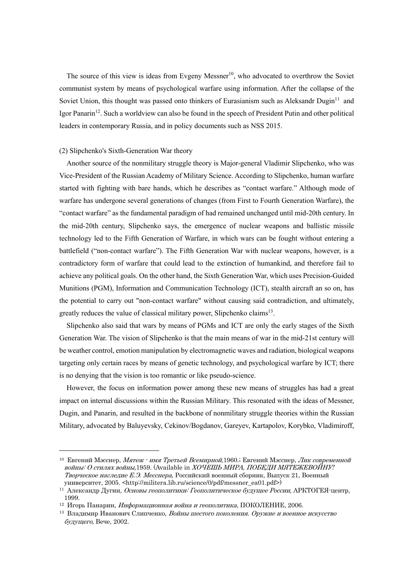The source of this view is ideas from Evgeny Messner<sup>10</sup>, who advocated to overthrow the Soviet communist system by means of psychological warfare using information. After the collapse of the Soviet Union, this thought was passed onto thinkers of Eurasianism such as Aleksandr Dugin<sup>11</sup> and Igor Panarin<sup>12</sup>. Such a worldview can also be found in the speech of President Putin and other political leaders in contemporary Russia, and in policy documents such as NSS 2015.

#### (2) Slipchenko's Sixth-Generation War theory

Another source of the nonmilitary struggle theory is Major-general Vladimir Slipchenko, who was Vice-President of the Russian Academy of Military Science. According to Slipchenko, human warfare started with fighting with bare hands, which he describes as "contact warfare." Although mode of warfare has undergone several generations of changes (from First to Fourth Generation Warfare), the "contact warfare" as the fundamental paradigm of had remained unchanged until mid-20th century. In the mid-20th century, Slipchenko says, the emergence of nuclear weapons and ballistic missile technology led to the Fifth Generation of Warfare, in which wars can be fought without entering a battlefield ("non-contact warfare"). The Fifth Generation War with nuclear weapons, however, is a contradictory form of warfare that could lead to the extinction of humankind, and therefore fail to achieve any political goals. On the other hand, the Sixth Generation War, which uses Precision-Guided Munitions (PGM), Information and Communication Technology (ICT), stealth aircraft an so on, has the potential to carry out "non-contact warfare" without causing said contradiction, and ultimately, greatly reduces the value of classical military power, Slipchenko claims<sup>13</sup>.

Slipchenko also said that wars by means of PGMs and ICT are only the early stages of the Sixth Generation War. The vision of Slipchenko is that the main means of war in the mid-21st century will be weather control, emotion manipulation by electromagnetic waves and radiation, biological weapons targeting only certain races by means of genetic technology, and psychological warfare by ICT; there is no denying that the vision is too romantic or like pseudo-science.

However, the focus on information power among these new means of struggles has had a great impact on internal discussions within the Russian Military. This resonated with the ideas of Messner, Dugin, and Panarin, and resulted in the backbone of nonmilitary struggle theories within the Russian Military, advocated by Baluyevsky, Cekinov/Bogdanov, Gareyev, Kartapolov, Korybko, Vladimiroff,

<sup>10</sup> Евгений Мэсснер, Мятеж - имя Третьей Всемирной,1960.; Евгений Мэсснер, Лик современной войны: <sup>О</sup> стилях войны,1959. (Available in ХОЧЕШЬ МИРА, ПОБЕДИ МЯТЕЖЕВОЙНУ! Творческое наследие Е.Э. Месснера, Российский военный сборник, Выпуск 21, Военный университет, 2005. <http://militera.lib.ru/science/0/pdf/messner\_ea01.pdf>)

<sup>11</sup> Александр Дугин, Основы геополитики: Геополитическое будущее России, АРКТОГЕЯ-центр, 1999.

<sup>12</sup> Игорь Панарин, Информационная война <sup>и</sup> геополитика, ПОКОЛЕНИЕ, 2006.

<sup>13</sup> Владимир Иванович Слипченко, Войны шестого поколения. Оружие <sup>и</sup> военное искусство будущего, Вече, 2002.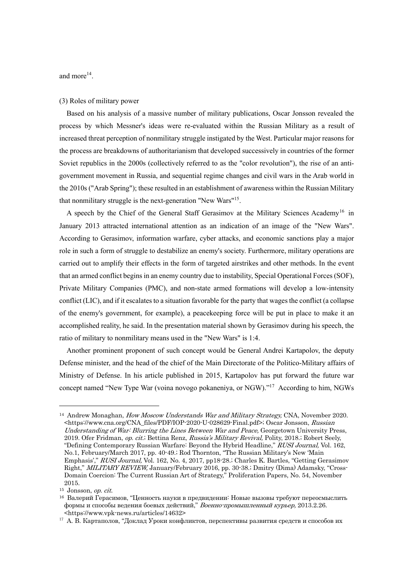and more<sup>14</sup>.

#### (3) Roles of military power

Based on his analysis of a massive number of military publications, Oscar Jonsson revealed the process by which Messner's ideas were re-evaluated within the Russian Military as a result of increased threat perception of nonmilitary struggle instigated by the West. Particular major reasons for the process are breakdowns of authoritarianism that developed successively in countries of the former Soviet republics in the 2000s (collectively referred to as the "color revolution"), the rise of an antigovernment movement in Russia, and sequential regime changes and civil wars in the Arab world in the 2010s ("Arab Spring"); these resulted in an establishment of awareness within the Russian Military that nonmilitary struggle is the next-generation "New Wars"15.

A speech by the Chief of the General Staff Gerasimov at the Military Sciences Academy<sup>16</sup> in January 2013 attracted international attention as an indication of an image of the "New Wars". According to Gerasimov, information warfare, cyber attacks, and economic sanctions play a major role in such a form of struggle to destabilize an enemy's society. Furthermore, military operations are carried out to amplify their effects in the form of targeted airstrikes and other methods. In the event that an armed conflict begins in an enemy country due to instability, Special Operational Forces (SOF), Private Military Companies (PMC), and non-state armed formations will develop a low-intensity conflict (LIC), and if it escalates to a situation favorable for the party that wages the conflict (a collapse of the enemy's government, for example), a peacekeeping force will be put in place to make it an accomplished reality, he said. In the presentation material shown by Gerasimov during his speech, the ratio of military to nonmilitary means used in the "New Wars" is 1:4.

Another prominent proponent of such concept would be General Andrei Kartapolov, the deputy Defense minister, and the head of the chief of the Main Directorate of the Politico-Military affairs of Ministry of Defense. In his article published in 2015, Kartapolov has put forward the future war concept named "New Type War (voina novogo pokaneniya, or NGW)."<sup>17</sup> According to him, NGWs

<sup>&</sup>lt;sup>14</sup> Andrew Monaghan, *How Moscow Understands War and Military Strategy*, CNA, November 2020. <https://www.cna.org/CNA\_files/PDF/IOP-2020-U-028629-Final.pdf>; Oscar Jonsson, Russian Understanding of War: Blurring the Lines Between War and Peace, Georgetown University Press, 2019. Ofer Fridman, op. cit.; Bettina Renz, Russia's Military Revival, Polity, 2018.; Robert Seely, "Defining Contemporary Russian Warfare: Beyond the Hybrid Headline," RUSI Journal, Vol. 162, No.1, February/March 2017, pp. 40-49.; Rod Thornton, "The Russian Military's New 'Main Emphasis'," RUSI Journal, Vol. 162, No. 4, 2017, pp18-28.; Charles K. Bartles, "Getting Gerasimov Right," MILITARY REVIEW, January/February 2016, pp. 30-38.; Dmitry (Dima) Adamsky, "Cross-Domain Coercion: The Current Russian Art of Strategy," Proliferation Papers, No. 54, November 2015.

 $15$  Jonsson, *op. cit.* 

<sup>16</sup> Валерий Герасимов, "Ценность науки в предвидении: Новые вызовы требуют переосмыслить формы и способы ведения боевых действий," Военно-промышленный курьер, 2013.2.26. <https://www.vpk-news.ru/articles/14632>

<sup>17</sup> А. В. Картаполов, "Доклад Уроки конфликтов, перспективы развития средств и способов их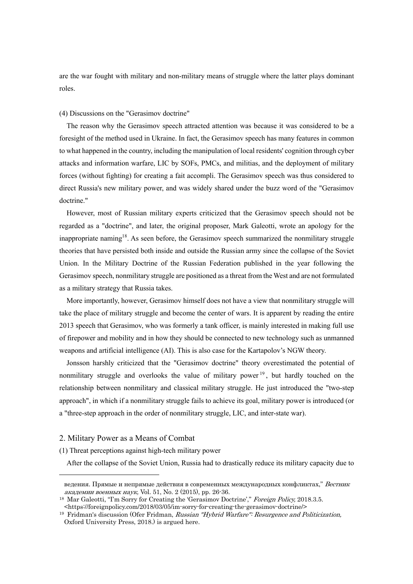are the war fought with military and non-military means of struggle where the latter plays dominant roles.

#### (4) Discussions on the "Gerasimov doctrine"

The reason why the Gerasimov speech attracted attention was because it was considered to be a foresight of the method used in Ukraine. In fact, the Gerasimov speech has many features in common to what happened in the country, including the manipulation of local residents' cognition through cyber attacks and information warfare, LIC by SOFs, PMCs, and militias, and the deployment of military forces (without fighting) for creating a fait accompli. The Gerasimov speech was thus considered to direct Russia's new military power, and was widely shared under the buzz word of the "Gerasimov doctrine."

However, most of Russian military experts criticized that the Gerasimov speech should not be regarded as a "doctrine", and later, the original proposer, Mark Galeotti, wrote an apology for the inappropriate naming<sup>18</sup>. As seen before, the Gerasimov speech summarized the nonmilitary struggle theories that have persisted both inside and outside the Russian army since the collapse of the Soviet Union. In the Military Doctrine of the Russian Federation published in the year following the Gerasimov speech, nonmilitary struggle are positioned as a threat from the West and are not formulated as a military strategy that Russia takes.

More importantly, however, Gerasimov himself does not have a view that nonmilitary struggle will take the place of military struggle and become the center of wars. It is apparent by reading the entire 2013 speech that Gerasimov, who was formerly a tank officer, is mainly interested in making full use of firepower and mobility and in how they should be connected to new technology such as unmanned weapons and artificial intelligence (AI). This is also case for the Kartapolov's NGW theory.

Jonsson harshly criticized that the "Gerasimov doctrine" theory overestimated the potential of nonmilitary struggle and overlooks the value of military power  $19$ , but hardly touched on the relationship between nonmilitary and classical military struggle. He just introduced the "two-step approach", in which if a nonmilitary struggle fails to achieve its goal, military power is introduced (or a "three-step approach in the order of nonmilitary struggle, LIC, and inter-state war).

# 2. Military Power as a Means of Combat

(1) Threat perceptions against high-tech military power

After the collapse of the Soviet Union, Russia had to drastically reduce its military capacity due to

ведения. Прямые и непрямые действия в современных международных конфликтах," Вестник академии военных наук, Vol. 51, No. 2 (2015), pp. 26-36.

<sup>&</sup>lt;sup>18</sup> Mar Galeotti, "I'm Sorry for Creating the 'Gerasimov Doctrine'," Foreign Policy, 2018.3.5. <https://foreignpolicy.com/2018/03/05/im-sorry-for-creating-the-gerasimov-doctrine/>

<sup>&</sup>lt;sup>19</sup> Fridman's discussion (Ofer Fridman, Russian "Hybrid Warfare": Resurgence and Politicization, Oxford University Press, 2018.) is argued here.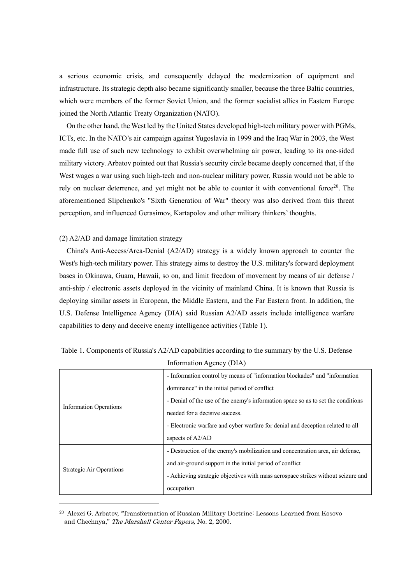a serious economic crisis, and consequently delayed the modernization of equipment and infrastructure. Its strategic depth also became significantly smaller, because the three Baltic countries, which were members of the former Soviet Union, and the former socialist allies in Eastern Europe joined the North Atlantic Treaty Organization (NATO).

On the other hand, the West led by the United States developed high-tech military power with PGMs, ICTs, etc. In the NATO's air campaign against Yugoslavia in 1999 and the Iraq War in 2003, the West made full use of such new technology to exhibit overwhelming air power, leading to its one-sided military victory. Arbatov pointed out that Russia's security circle became deeply concerned that, if the West wages a war using such high-tech and non-nuclear military power, Russia would not be able to rely on nuclear deterrence, and yet might not be able to counter it with conventional force<sup>20</sup>. The aforementioned Slipchenko's "Sixth Generation of War" theory was also derived from this threat perception, and influenced Gerasimov, Kartapolov and other military thinkers' thoughts.

#### (2) A2/AD and damage limitation strategy

China's Anti-Access/Area-Denial (A2/AD) strategy is a widely known approach to counter the West's high-tech military power. This strategy aims to destroy the U.S. military's forward deployment bases in Okinawa, Guam, Hawaii, so on, and limit freedom of movement by means of air defense / anti-ship / electronic assets deployed in the vicinity of mainland China. It is known that Russia is deploying similar assets in European, the Middle Eastern, and the Far Eastern front. In addition, the U.S. Defense Intelligence Agency (DIA) said Russian A2/AD assets include intelligence warfare capabilities to deny and deceive enemy intelligence activities (Table 1).

| <b>Information Operations</b>   | - Information control by means of "information blockades" and "information       |
|---------------------------------|----------------------------------------------------------------------------------|
|                                 | dominance" in the initial period of conflict                                     |
|                                 | - Denial of the use of the enemy's information space so as to set the conditions |
|                                 | needed for a decisive success.                                                   |
|                                 | - Electronic warfare and cyber warfare for denial and deception related to all   |
|                                 | aspects of A2/AD                                                                 |
| <b>Strategic Air Operations</b> | - Destruction of the enemy's mobilization and concentration area, air defense,   |
|                                 | and air-ground support in the initial period of conflict                         |
|                                 | - Achieving strategic objectives with mass aerospace strikes without seizure and |
|                                 | occupation                                                                       |

Table 1. Components of Russia's A2/AD capabilities according to the summary by the U.S. Defense Information Agency (DIA)

<sup>20</sup> Alexei G. Arbatov, "Transformation of Russian Military Doctrine: Lessons Learned from Kosovo and Chechnya," The Marshall Center Papers, No. 2, 2000.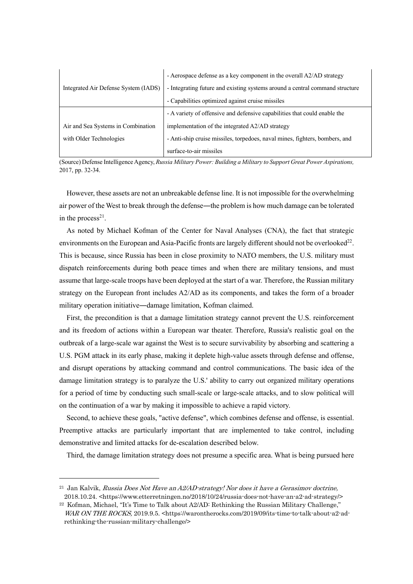|                                      | - Aerospace defense as a key component in the overall A2/AD strategy         |
|--------------------------------------|------------------------------------------------------------------------------|
| Integrated Air Defense System (IADS) | - Integrating future and existing systems around a central command structure |
|                                      | - Capabilities optimized against cruise missiles                             |
|                                      | - A variety of offensive and defensive capabilities that could enable the    |
| Air and Sea Systems in Combination   | implementation of the integrated A2/AD strategy                              |
| with Older Technologies              | - Anti-ship cruise missiles, torpedoes, naval mines, fighters, bombers, and  |
|                                      | surface-to-air missiles                                                      |

(Source) Defense IntelligenceAgency, *Russia Military Power: Building a Military to Support Great Power Aspirations,* 2017, pp. 32-34.

However, these assets are not an unbreakable defense line. It is not impossible for the overwhelming air power of the West to break through the defense—the problem is how much damage can be tolerated in the process<sup>21</sup>.

As noted by Michael Kofman of the Center for Naval Analyses (CNA), the fact that strategic environments on the European and Asia-Pacific fronts are largely different should not be overlooked<sup>22</sup>. This is because, since Russia has been in close proximity to NATO members, the U.S. military must dispatch reinforcements during both peace times and when there are military tensions, and must assume that large-scale troops have been deployed at the start of a war. Therefore, the Russian military strategy on the European front includes A2/AD as its components, and takes the form of a broader military operation initiative―damage limitation, Kofman claimed.

First, the precondition is that a damage limitation strategy cannot prevent the U.S. reinforcement and its freedom of actions within a European war theater. Therefore, Russia's realistic goal on the outbreak of a large-scale war against the West is to secure survivability by absorbing and scattering a U.S. PGM attack in its early phase, making it deplete high-value assets through defense and offense, and disrupt operations by attacking command and control communications. The basic idea of the damage limitation strategy is to paralyze the U.S.' ability to carry out organized military operations for a period of time by conducting such small-scale or large-scale attacks, and to slow political will on the continuation of a war by making it impossible to achieve a rapid victory.

Second, to achieve these goals, "active defense", which combines defense and offense, is essential. Preemptive attacks are particularly important that are implemented to take control, including demonstrative and limited attacks for de-escalation described below.

Third, the damage limitation strategy does not presume a specific area. What is being pursued here

 $^{21}$  Jan Kalvik, Russia Does Not Have an  $A2$ /AD-strategy! Nor does it have a Gerasimov doctrine, 2018.10.24. <https://www.etterretningen.no/2018/10/24/russia-does-not-have-an-a2-ad-strategy/>

 $22$  Kofman, Michael, "It's Time to Talk about A2/AD: Rethinking the Russian Military Challenge," WAR ON THE ROCKS, 2019.9.5. <https://warontherocks.com/2019/09/its-time-to-talk-about-a2-adrethinking-the-russian-military-challenge/>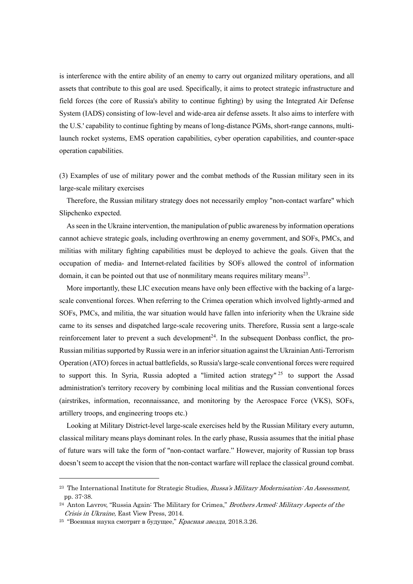is interference with the entire ability of an enemy to carry out organized military operations, and all assets that contribute to this goal are used. Specifically, it aims to protect strategic infrastructure and field forces (the core of Russia's ability to continue fighting) by using the Integrated Air Defense System (IADS) consisting of low-level and wide-area air defense assets. It also aims to interfere with the U.S.' capability to continue fighting by means of long-distance PGMs, short-range cannons, multilaunch rocket systems, EMS operation capabilities, cyber operation capabilities, and counter-space operation capabilities.

(3) Examples of use of military power and the combat methods of the Russian military seen in its large-scale military exercises

Therefore, the Russian military strategy does not necessarily employ "non-contact warfare" which Slipchenko expected.

Asseen in the Ukraine intervention, the manipulation of public awareness by information operations cannot achieve strategic goals, including overthrowing an enemy government, and SOFs, PMCs, and militias with military fighting capabilities must be deployed to achieve the goals. Given that the occupation of media- and Internet-related facilities by SOFs allowed the control of information domain, it can be pointed out that use of nonmilitary means requires military means<sup>23</sup>.

More importantly, these LIC execution means have only been effective with the backing of a largescale conventional forces. When referring to the Crimea operation which involved lightly-armed and SOFs, PMCs, and militia, the war situation would have fallen into inferiority when the Ukraine side came to its senses and dispatched large-scale recovering units. Therefore, Russia sent a large-scale reinforcement later to prevent a such development<sup>24</sup>. In the subsequent Donbass conflict, the pro-Russian militias supported by Russia were in an inferiorsituation against the Ukrainian Anti-Terrorism Operation (ATO) forces in actual battlefields, so Russia's large-scale conventional forces were required to support this. In Syria, Russia adopted a "limited action strategy"  $25$  to support the Assad administration's territory recovery by combining local militias and the Russian conventional forces (airstrikes, information, reconnaissance, and monitoring by the Aerospace Force (VKS), SOFs, artillery troops, and engineering troops etc.)

Looking at Military District-level large-scale exercises held by the Russian Military every autumn, classical military means plays dominant roles. In the early phase, Russia assumes that the initial phase of future wars will take the form of "non-contact warfare." However, majority of Russian top brass doesn't seem to accept the vision that the non-contact warfare will replace the classical ground combat.

<sup>&</sup>lt;sup>23</sup> The International Institute for Strategic Studies, Russa's Military Modernisation: An Assessment, pp. 37-38.

 $^{24}$  Anton Lavrov, "Russia Again: The Military for Crimea," Brothers Armed: Military Aspects of the Crisis in Ukraine, East View Press, 2014.

<sup>&</sup>lt;sup>25</sup> "Военная наука смотрит в будущее." Красная звезда, 2018.3.26.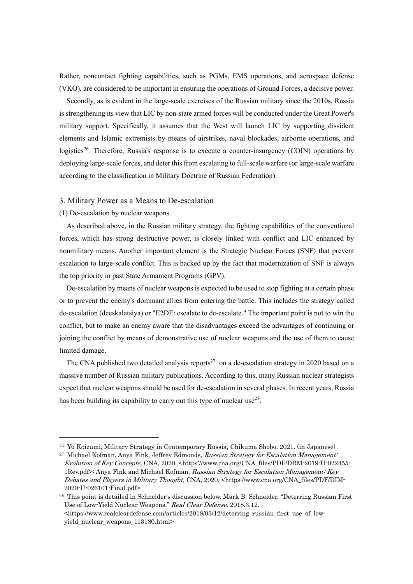Rather, noncontact fighting capabilities, such as PGMs, EMS operations, and aerospace defense (VKO), are considered to be important in ensuring the operations of Ground Forces, a decisive power.

Secondly, as is evident in the large-scale exercises of the Russian military since the 2010s, Russia is strengthening its view that LIC by non-state armed forces will be conducted under the Great Power's military support. Specifically, it assumes that the West will launch LIC by supporting dissident elements and Islamic extremists by means of airstrikes, naval blockades, airborne operations, and logistics<sup>26</sup>. Therefore, Russia's response is to execute a counter-insurgency (COIN) operations by deploying large-scale forces, and deter this from escalating to full-scale warfare (or large-scale warfare according to the classification in Military Doctrine of Russian Federation).

#### 3. Military Power as a Means to De-escalation

# (1) De-escalation by nuclear weapons

As described above, in the Russian military strategy, the fighting capabilities of the conventional forces, which has strong destructive power, is closely linked with conflict and LIC enhanced by nonmilitary means. Another important element is the Strategic Nuclear Forces (SNF) that prevent escalation to large-scale conflict. This is backed up by the fact that modernization of SNF is always the top priority in past State Armament Programs (GPV).

De-escalation by means of nuclear weapons is expected to be used to stop fighting at a certain phase or to prevent the enemy's dominant allies from entering the battle. This includes the strategy called de-escalation (deeskalatsiya) or "E2DE: escalate to de-escalate." The important point is not to win the conflict, but to make an enemy aware that the disadvantages exceed the advantages of continuing or joining the conflict by means of demonstrative use of nuclear weapons and the use of them to cause limited damage.

The CNA published two detailed analysis reports<sup>27</sup> on a de-escalation strategy in 2020 based on a massive number of Russian military publications. According to this, many Russian nuclear strategists expect that nuclear weapons should be used for de-escalation in several phases. In recent years, Russia has been building its capability to carry out this type of nuclear use<sup>28</sup>.

<sup>26</sup> Yu Koizumi, Military Strategy in Contemporary Russia, Chikuma Shobo, 2021. (in Japanese)

<sup>&</sup>lt;sup>27</sup> Michael Kofman, Anya Fink, Jeffrey Edmonds, Russian Strategy for Escalation Management: Evolution of Key Concepts, CNA, 2020. <https://www.cna.org/CNA\_files/PDF/DRM-2019-U-022455- 1Rev.pdf>; Anya Fink and Michael Kofman, Russian Strategy for Escalation Management: Key Debates and Players in Military Thought, CNA, 2020. <https://www.cna.org/CNA\_files/PDF/DIM-2020-U-026101-Final.pdf>

<sup>28</sup> This point is detailed in Schneider's discussion below. Mark B. Schneider, "Deterring Russian First Use of Low-Yield Nuclear Weapons," Real Clear Defense, 2018.3.12.  $\text{Shtros:}$ //www.realcleardefense.com/articles/2018/03/12/deterring russian first use of lowyield\_nuclear\_weapons\_113180.html>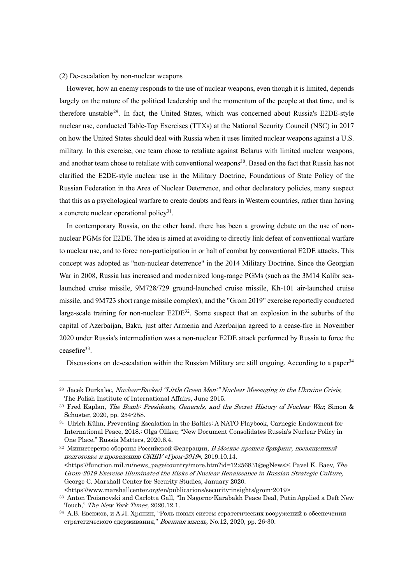#### (2) De-escalation by non-nuclear weapons

However, how an enemy responds to the use of nuclear weapons, even though it is limited, depends largely on the nature of the political leadership and the momentum of the people at that time, and is therefore unstable<sup>29</sup>. In fact, the United States, which was concerned about Russia's E2DE-style nuclear use, conducted Table-Top Exercises (TTXs) at the National Security Council (NSC) in 2017 on how the United States should deal with Russia when it uses limited nuclear weapons against a U.S. military. In this exercise, one team chose to retaliate against Belarus with limited nuclear weapons, and another team chose to retaliate with conventional weapons<sup>30</sup>. Based on the fact that Russia has not clarified the E2DE-style nuclear use in the Military Doctrine, Foundations of State Policy of the Russian Federation in the Area of Nuclear Deterrence, and other declaratory policies, many suspect that this as a psychological warfare to create doubts and fears in Western countries, rather than having a concrete nuclear operational policy<sup>31</sup>.

In contemporary Russia, on the other hand, there has been a growing debate on the use of nonnuclear PGMs for E2DE. The idea is aimed at avoiding to directly link defeat of conventional warfare to nuclear use, and to force non-participation in or halt of combat by conventional E2DE attacks. This concept was adopted as "non-nuclear deterrence" in the 2014 Military Doctrine. Since the Georgian War in 2008, Russia has increased and modernized long-range PGMs (such as the 3M14 Kalibr sealaunched cruise missile, 9M728/729 ground-launched cruise missile, Kh-101 air-launched cruise missile, and 9M723 short range missile complex), and the "Grom 2019" exercise reportedly conducted large-scale training for non-nuclear  $E2DE^{32}$ . Some suspect that an explosion in the suburbs of the capital of Azerbaijan, Baku, just after Armenia and Azerbaijan agreed to a cease-fire in November 2020 under Russia's intermediation was a non-nuclear E2DE attack performed by Russia to force the ceasefire $33$ .

Discussions on de-escalation within the Russian Military are still ongoing. According to a paper<sup>34</sup>

 $32$  Министерство обороны Российской Федерации, В Москве прошел брифинг, посвященный подготовке <sup>и</sup> проведению СКШУ «Гром-2019», 2019.10.14. <https://function.mil.ru/news\_page/country/more.htm?id=12256831@egNews>; Pavel K. Baev, The Grom-2019 Exercise Illuminated the Risks of Nuclear Renaissance in Russian Strategic Culture, George C. Marshall Center for Security Studies, January 2020.

<https://www.marshallcenter.org/en/publications/security-insights/grom-2019>

<sup>&</sup>lt;sup>29</sup> Jacek Durkalec, Nuclear-Backed "Little Green Men:" Nuclear Messaging in the Ukraine Crisis, The Polish Institute of International Affairs, June 2015.

<sup>&</sup>lt;sup>30</sup> Fred Kaplan, *The Bomb: Presidents, Generals, and the Secret History of Nuclear War*, Simon & Schuster, 2020, pp. 254-258.

<sup>31</sup> Ulrich Kühn, Preventing Escalation in the Baltics: A NATO Playbook, Carnegie Endowment for International Peace, 2018.; Olga Oliker, "New Document Consolidates Russia's Nuclear Policy in One Place," Russia Matters, 2020.6.4.

<sup>33</sup> Anton Troianovski and Carlotta Gall, "In Nagorno-Karabakh Peace Deal, Putin Applied a Deft New Touch," The New York Times, 2020.12.1.

<sup>34</sup> А.В. Евсюков, и А.Л. Хряпин, "Роль новых систем стратегических вооружений в обеспечении стратегического сдерживания," Военная мысль, No.12, 2020, pp. 26-30.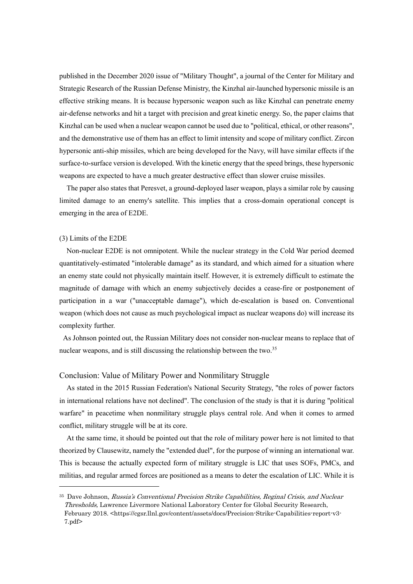published in the December 2020 issue of "Military Thought", a journal of the Center for Military and Strategic Research of the Russian Defense Ministry, the Kinzhal air-launched hypersonic missile is an effective striking means. It is because hypersonic weapon such as like Kinzhal can penetrate enemy air-defense networks and hit a target with precision and great kinetic energy. So, the paper claims that Kinzhal can be used when a nuclear weapon cannot be used due to "political, ethical, or other reasons", and the demonstrative use of them has an effect to limit intensity and scope of military conflict. Zircon hypersonic anti-ship missiles, which are being developed for the Navy, will have similar effects if the surface-to-surface version is developed. With the kinetic energy that the speed brings, these hypersonic weapons are expected to have a much greater destructive effect than slower cruise missiles.

The paper also states that Peresvet, a ground-deployed laser weapon, plays a similar role by causing limited damage to an enemy's satellite. This implies that a cross-domain operational concept is emerging in the area of E2DE.

#### (3) Limits of the E2DE

Non-nuclear E2DE is not omnipotent. While the nuclear strategy in the Cold War period deemed quantitatively-estimated "intolerable damage" as its standard, and which aimed for a situation where an enemy state could not physically maintain itself. However, it is extremely difficult to estimate the magnitude of damage with which an enemy subjectively decides a cease-fire or postponement of participation in a war ("unacceptable damage"), which de-escalation is based on. Conventional weapon (which does not cause as much psychological impact as nuclear weapons do) will increase its complexity further.

As Johnson pointed out, the Russian Military does not consider non-nuclear means to replace that of nuclear weapons, and is still discussing the relationship between the two.<sup>35</sup>

### Conclusion: Value of Military Power and Nonmilitary Struggle

As stated in the 2015 Russian Federation's National Security Strategy, "the roles of power factors in international relations have not declined". The conclusion of the study is that it is during "political warfare" in peacetime when nonmilitary struggle plays central role. And when it comes to armed conflict, military struggle will be at its core.

At the same time, it should be pointed out that the role of military power here is not limited to that theorized by Clausewitz, namely the "extended duel", for the purpose of winning an international war. This is because the actually expected form of military struggle is LIC that uses SOFs, PMCs, and militias, and regular armed forces are positioned as a means to deter the escalation of LIC. While it is

<sup>35</sup> Dave Johnson, Russia's Conventional Precision Strike Capabilities, Reginal Crisis, and Nuclear Thresholds, Lawrence Livermore National Laboratory Center for Global Security Research, February 2018. <https://cgsr.llnl.gov/content/assets/docs/Precision-Strike-Capabilities-report-v3- 7.pdf>